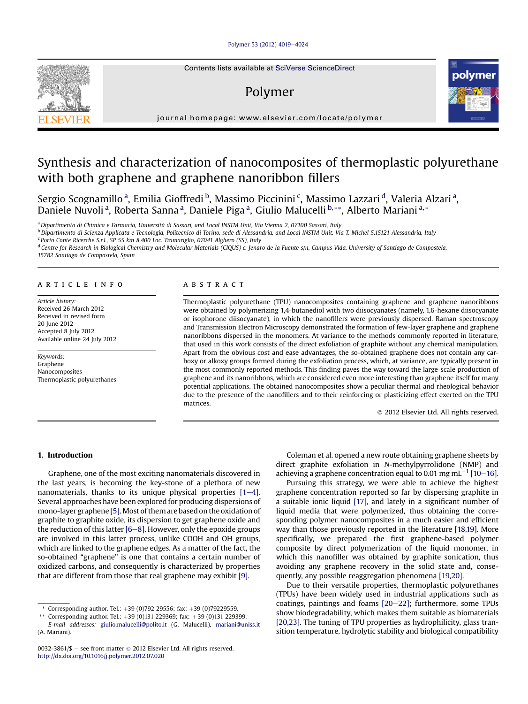# [Polymer 53 \(2012\) 4019](http://dx.doi.org/10.1016/j.polymer.2012.07.020)-[4024](http://dx.doi.org/10.1016/j.polymer.2012.07.020)

# Polymer



journal homepage: [www.elsevier.com/locate/polymer](http://www.elsevier.com/locate/polymer)

# Synthesis and characterization of nanocomposites of thermoplastic polyurethane with both graphene and graphene nanoribbon fillers

Sergio Scognamillo <sup>a</sup>, Emilia Gioffredi <sup>b</sup>, Massimo Piccinini <sup>c</sup>, Massimo Lazzari <sup>d</sup>, Valeria Alzari <sup>a</sup>, Daniele Nuvoli<sup>a</sup>, Roberta Sanna<sup>a</sup>, Daniele Piga<sup>a</sup>, Giulio Malucelli<sup>b,\*\*</sup>, Alberto Mariani<sup>a,\*</sup>

<sup>a</sup> Dipartimento di Chimica e Farmacia, Università di Sassari, and Local INSTM Unit, Via Vienna 2, 07100 Sassari, Italy

<sup>b</sup> Dipartimento di Scienza Applicata e Tecnologia, Politecnico di Torino, sede di Alessandria, and Local INSTM Unit, Via T. Michel 5,15121 Alessandria, Italy <sup>c</sup> Porto Conte Ricerche S.r.l., SP 55 km 8.400 Loc. Tramariglio, 07041 Alghero (SS), Italy

<sup>d</sup> Centre for Research in Biological Chemistry and Molecular Materials (CIQUS) c. Jenaro de la Fuente s/n, Campus Vida, University of Santiago de Compostela, 15782 Santiago de Compostela, Spain

# article info

Article history: Received 26 March 2012 Received in revised form 20 June 2012 Accepted 8 July 2012 Available online 24 July 2012

Keywords: Graphene Nanocomposites Thermoplastic polyurethanes

# ABSTRACT

Thermoplastic polyurethane (TPU) nanocomposites containing graphene and graphene nanoribbons were obtained by polymerizing 1,4-butanediol with two diisocyanates (namely, 1,6-hexane diisocyanate or isophorone diisocyanate), in which the nanofillers were previously dispersed. Raman spectroscopy and Transmission Electron Microscopy demonstrated the formation of few-layer graphene and graphene nanoribbons dispersed in the monomers. At variance to the methods commonly reported in literature, that used in this work consists of the direct exfoliation of graphite without any chemical manipulation. Apart from the obvious cost and ease advantages, the so-obtained graphene does not contain any carboxy or alkoxy groups formed during the exfoliation process, which, at variance, are typically present in the most commonly reported methods. This finding paves the way toward the large-scale production of graphene and its nanoribbons, which are considered even more interesting than graphene itself for many potential applications. The obtained nanocomposites show a peculiar thermal and rheological behavior due to the presence of the nanofillers and to their reinforcing or plasticizing effect exerted on the TPU matrices.

2012 Elsevier Ltd. All rights reserved.

# 1. Introduction

Graphene, one of the most exciting nanomaterials discovered in the last years, is becoming the key-stone of a plethora of new nanomaterials, thanks to its unique physical properties  $[1-4]$  $[1-4]$ . Several approaches have been explored for producing dispersions of mono-layer graphene [\[5\]](#page-5-0). Most of them are based on the oxidation of graphite to graphite oxide, its dispersion to get graphene oxide and the reduction of this latter  $[6-8]$  $[6-8]$  $[6-8]$ . However, only the epoxide groups are involved in this latter process, unlike COOH and OH groups, which are linked to the graphene edges. As a matter of the fact, the so-obtained "graphene" is one that contains a certain number of oxidized carbons, and consequently is characterized by properties that are different from those that real graphene may exhibit [\[9\].](#page-5-0)

Coleman et al. opened a new route obtaining graphene sheets by direct graphite exfoliation in N-methylpyrrolidone (NMP) and achieving a graphene concentration equal to 0.01 mg mL<sup>-1</sup> [\[10](#page-5-0)-[16\].](#page-5-0)

Pursuing this strategy, we were able to achieve the highest graphene concentration reported so far by dispersing graphite in a suitable ionic liquid [\[17\],](#page-5-0) and lately in a significant number of liquid media that were polymerized, thus obtaining the corresponding polymer nanocomposites in a much easier and efficient way than those previously reported in the literature [\[18,19\]](#page-5-0). More specifically, we prepared the first graphene-based polymer composite by direct polymerization of the liquid monomer, in which this nanofiller was obtained by graphite sonication, thus avoiding any graphene recovery in the solid state and, consequently, any possible reaggregation phenomena [\[19,20\].](#page-5-0)

Due to their versatile properties, thermoplastic polyurethanes (TPUs) have been widely used in industrial applications such as coatings, paintings and foams  $[20-22]$  $[20-22]$ ; furthermore, some TPUs show biodegradability, which makes them suitable as biomaterials [\[20,23\]](#page-5-0). The tuning of TPU properties as hydrophilicity, glass transition temperature, hydrolytic stability and biological compatibility



Corresponding author. Tel.:  $+39$  (0)792 29556; fax:  $+39$  (0)79229559.

Corresponding author. Tel.:  $+39$  (0)131 229369; fax:  $+39$  (0)131 229399.

E-mail addresses: [giulio.malucelli@polito.it](mailto:giulio.malucelli@polito.it) (G. Malucelli), [mariani@uniss.it](mailto:mariani@uniss.it) (A. Mariani).

<sup>0032-3861/\$ -</sup> see front matter  $\odot$  2012 Elsevier Ltd. All rights reserved. <http://dx.doi.org/10.1016/j.polymer.2012.07.020>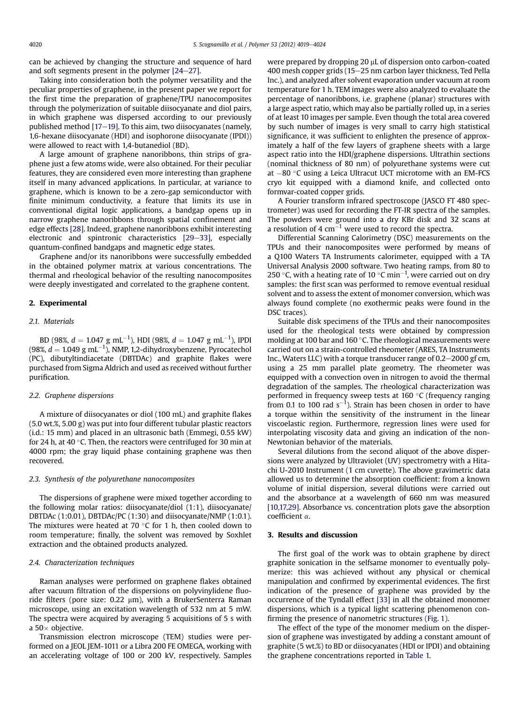can be achieved by changing the structure and sequence of hard and soft segments present in the polymer  $[24-27]$  $[24-27]$  $[24-27]$ .

Taking into consideration both the polymer versatility and the peculiar properties of graphene, in the present paper we report for the first time the preparation of graphene/TPU nanocomposites through the polymerization of suitable diisocyanate and diol pairs, in which graphene was dispersed according to our previously published method  $[17-19]$  $[17-19]$  $[17-19]$ . To this aim, two diisocyanates (namely, 1,6-hexane diisocyanate (HDI) and isophorone diisocyanate (IPDI)) were allowed to react with 1,4-butanediol (BD).

A large amount of graphene nanoribbons, thin strips of graphene just a few atoms wide, were also obtained. For their peculiar features, they are considered even more interesting than graphene itself in many advanced applications. In particular, at variance to graphene, which is known to be a zero-gap semiconductor with finite minimum conductivity, a feature that limits its use in conventional digital logic applications, a bandgap opens up in narrow graphene nanoribbons through spatial confinement and edge effects [\[28\]](#page-5-0). Indeed, graphene nanoribbons exhibit interesting electronic and spintronic characteristics  $[29-33]$  $[29-33]$ , especially quantum-confined bandgaps and magnetic edge states.

Graphene and/or its nanoribbons were successfully embedded in the obtained polymer matrix at various concentrations. The thermal and rheological behavior of the resulting nanocomposites were deeply investigated and correlated to the graphene content.

# 2. Experimental

# 2.1. Materials

BD (98%,  $d = 1.047$  g mL<sup>-1</sup>), HDI (98%,  $d = 1.047$  g mL<sup>-1</sup>), IPDI (98%,  $d = 1.049$  g mL<sup>-1</sup>), NMP, 1,2-dihydroxybenzene, Pyrocatechol (PC), dibutyltindiacetate (DBTDAc) and graphite flakes were purchased from Sigma Aldrich and used as received without further purification.

#### 2.2. Graphene dispersions

A mixture of diisocyanates or diol (100 mL) and graphite flakes (5.0 wt.%, 5.00 g) was put into four different tubular plastic reactors (i.d.: 15 mm) and placed in an ultrasonic bath (Emmegi, 0.55 kW) for 24 h, at 40 $\degree$ C. Then, the reactors were centrifuged for 30 min at 4000 rpm; the gray liquid phase containing graphene was then recovered.

# 2.3. Synthesis of the polyurethane nanocomposites

The dispersions of graphene were mixed together according to the following molar ratios: diisocyanate/diol (1:1), diisocyanate/ DBTDAc (1:0.01), DBTDAc/PC (1:30) and diisocyanate/NMP (1:0.1). The mixtures were heated at 70  $\degree$ C for 1 h, then cooled down to room temperature; finally, the solvent was removed by Soxhlet extraction and the obtained products analyzed.

#### 2.4. Characterization techniques

Raman analyses were performed on graphene flakes obtained after vacuum filtration of the dispersions on polyvinylidene fluoride filters (pore size:  $0.22 \mu m$ ), with a BrukerSenterra Raman microscope, using an excitation wavelength of 532 nm at 5 mW. The spectra were acquired by averaging 5 acquisitions of 5 s with a 50 $\times$  objective.

Transmission electron microscope (TEM) studies were performed on a JEOL JEM-1011 or a Libra 200 FE OMEGA, working with an accelerating voltage of 100 or 200 kV, respectively. Samples were prepared by dropping 20 µL of dispersion onto carbon-coated 400 mesh copper grids (15-25 nm carbon layer thickness, Ted Pella Inc.), and analyzed after solvent evaporation under vacuum at room temperature for 1 h. TEM images were also analyzed to evaluate the percentage of nanoribbons, i.e. graphene (planar) structures with a large aspect ratio, which may also be partially rolled up, in a series of at least 10 images per sample. Even though the total area covered by such number of images is very small to carry high statistical significance, it was sufficient to enlighten the presence of approximately a half of the few layers of graphene sheets with a large aspect ratio into the HDI/graphene dispersions. Ultrathin sections (nominal thickness of 80 nm) of polyurethane systems were cut at  $-80$  °C using a Leica Ultracut UCT microtome with an EM-FCS cryo kit equipped with a diamond knife, and collected onto formvar-coated copper grids.

A Fourier transform infrared spectroscope (JASCO FT 480 spectrometer) was used for recording the FT-IR spectra of the samples. The powders were ground into a dry KBr disk and 32 scans at a resolution of 4  $cm^{-1}$  were used to record the spectra.

Differential Scanning Calorimetry (DSC) measurements on the TPUs and their nanocomposites were performed by means of a Q100 Waters TA Instruments calorimeter, equipped with a TA Universal Analysis 2000 software. Two heating ramps, from 80 to 250 °C, with a heating rate of 10 °C min<sup>-1</sup>, were carried out on dry samples: the first scan was performed to remove eventual residual solvent and to assess the extent of monomer conversion, which was always found complete (no exothermic peaks were found in the DSC traces).

Suitable disk specimens of the TPUs and their nanocomposites used for the rheological tests were obtained by compression molding at 100 bar and 160 $\degree$ C. The rheological measurements were carried out on a strain-controlled rheometer (ARES, TA Instruments Inc., Waters LLC) with a torque transducer range of  $0.2-2000$  gf cm, using a 25 mm parallel plate geometry. The rheometer was equipped with a convection oven in nitrogen to avoid the thermal degradation of the samples. The rheological characterization was performed in frequency sweep tests at  $160^{\circ}$ C (frequency ranging from 0.1 to 100 rad  $s^{-1}$ ). Strain has been chosen in order to have a torque within the sensitivity of the instrument in the linear viscoelastic region. Furthermore, regression lines were used for interpolating viscosity data and giving an indication of the non-Newtonian behavior of the materials.

Several dilutions from the second aliquot of the above dispersions were analyzed by Ultraviolet (UV) spectrometry with a Hitachi U-2010 Instrument (1 cm cuvette). The above gravimetric data allowed us to determine the absorption coefficient: from a known volume of initial dispersion, several dilutions were carried out and the absorbance at a wavelength of 660 nm was measured [\[10,17,29\]](#page-5-0). Absorbance vs. concentration plots gave the absorption coefficient  $\alpha$ .

# 3. Results and discussion

The first goal of the work was to obtain graphene by direct graphite sonication in the selfsame monomer to eventually polymerize: this was achieved without any physical or chemical manipulation and confirmed by experimental evidences. The first indication of the presence of graphene was provided by the occurrence of the Tyndall effect [\[33\]](#page-5-0) in all the obtained monomer dispersions, which is a typical light scattering phenomenon confirming the presence of nanometric structures [\(Fig. 1\)](#page-2-0).

The effect of the type of the monomer medium on the dispersion of graphene was investigated by adding a constant amount of graphite (5 wt.%) to BD or diisocyanates (HDI or IPDI) and obtaining the graphene concentrations reported in [Table 1.](#page-2-0)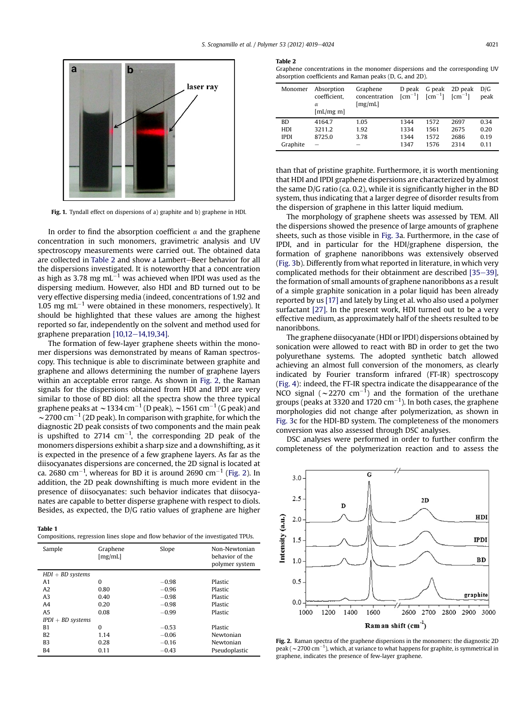<span id="page-2-0"></span>

Fig. 1. Tyndall effect on dispersions of a) graphite and b) graphene in HDI.

In order to find the absorption coefficient  $\alpha$  and the graphene concentration in such monomers, gravimetric analysis and UV spectroscopy measurements were carried out. The obtained data are collected in Table 2 and show a Lambert-Beer behavior for all the dispersions investigated. It is noteworthy that a concentration as high as 3.78 mg  $mL^{-1}$  was achieved when IPDI was used as the dispersing medium. However, also HDI and BD turned out to be very effective dispersing media (indeed, concentrations of 1.92 and 1.05 mg  $mL^{-1}$  were obtained in these monomers, respectively). It should be highlighted that these values are among the highest reported so far, independently on the solvent and method used for graphene preparation  $[10,12-14,19,34]$  $[10,12-14,19,34]$ .

The formation of few-layer graphene sheets within the monomer dispersions was demonstrated by means of Raman spectroscopy. This technique is able to discriminate between graphite and graphene and allows determining the number of graphene layers within an acceptable error range. As shown in Fig. 2, the Raman signals for the dispersions obtained from HDI and IPDI are very similar to those of BD diol: all the spectra show the three typical graphene peaks at  $\sim$  1334 cm<sup>-1</sup> (D peak),  $\sim$  1561 cm<sup>-1</sup> (G peak) and  $\sim$  2700 cm<sup>-1</sup> (2D peak). In comparison with graphite, for which the diagnostic 2D peak consists of two components and the main peak is upshifted to 2714  $cm^{-1}$ , the corresponding 2D peak of the monomers dispersions exhibit a sharp size and a downshifting, as it is expected in the presence of a few graphene layers. As far as the diisocyanates dispersions are concerned, the 2D signal is located at ca. 2680 cm $^{-1}$ , whereas for BD it is around 2690 cm $^{-1}$  (Fig. 2). In addition, the 2D peak downshifting is much more evident in the presence of diisocyanates: such behavior indicates that diisocyanates are capable to better disperse graphene with respect to diols. Besides, as expected, the D/G ratio values of graphene are higher

Table 1

| -------                                                                          |  |  |
|----------------------------------------------------------------------------------|--|--|
| Compositions, regression lines slope and flow behavior of the investigated TPUs. |  |  |

| Sample              | Graphene<br>[mg/mL] | Slope   | Non-Newtonian<br>behavior of the<br>polymer system |  |
|---------------------|---------------------|---------|----------------------------------------------------|--|
| $HDI + BD$ systems  |                     |         |                                                    |  |
| A <sub>1</sub>      | $\Omega$            | $-0.98$ | Plastic                                            |  |
| A2                  | 0.80                | $-0.96$ | Plastic                                            |  |
| A <sub>3</sub>      | 0.40                | $-0.98$ | Plastic                                            |  |
| A4                  | 0.20                | $-0.98$ | Plastic                                            |  |
| A <sub>5</sub>      | 0.08                | $-0.99$ | Plastic                                            |  |
| $IPDI + BD$ systems |                     |         |                                                    |  |
| <b>B1</b>           | $\Omega$            | $-0.53$ | Plastic                                            |  |
| <b>B2</b>           | 1.14                | $-0.06$ | Newtonian                                          |  |
| B3                  | 0.28                | $-0.16$ | Newtonian                                          |  |
| <b>B4</b>           | 0.11                | $-0.43$ | Pseudoplastic                                      |  |

Table 2

Graphene concentrations in the monomer dispersions and the corresponding UV absorption coefficients and Raman peaks (D, G, and 2D).

| Monomer     | Absorption<br>coefficient.<br>$\alpha$<br>[mL/mg m] | Graphene<br>concentration<br>[mg/mL] | D peak<br>$\lceil$ cm <sup>-1</sup> $\rceil$ | G peak<br>$\lceil$ cm <sup>-1</sup> $\rceil$ | 2D peak<br>$\lceil$ cm <sup>-1</sup> $\rceil$ | D/G<br>peak |
|-------------|-----------------------------------------------------|--------------------------------------|----------------------------------------------|----------------------------------------------|-----------------------------------------------|-------------|
| <b>BD</b>   | 4164.7                                              | 1.05                                 | 1344                                         | 1572                                         | 2697                                          | 0.34        |
| HDI         | 3211.2                                              | 1.92                                 | 1334                                         | 1561                                         | 2675                                          | 0.20        |
| <b>IPDI</b> | 8725.0                                              | 3.78                                 | 1344                                         | 1572                                         | 2686                                          | 0.19        |
| Graphite    | -                                                   | -                                    | 1347                                         | 1576                                         | 2314                                          | 0.11        |

than that of pristine graphite. Furthermore, it is worth mentioning that HDI and IPDI graphene dispersions are characterized by almost the same D/G ratio (ca. 0.2), while it is significantly higher in the BD system, thus indicating that a larger degree of disorder results from the dispersion of graphene in this latter liquid medium.

The morphology of graphene sheets was assessed by TEM. All the dispersions showed the presence of large amounts of graphene sheets, such as those visible in [Fig. 3a](#page-3-0). Furthermore, in the case of IPDI, and in particular for the HDI/graphene dispersion, the formation of graphene nanoribbons was extensively observed ([Fig. 3](#page-3-0)b). Differently from what reported in literature, in which very complicated methods for their obtainment are described  $[35-39]$  $[35-39]$ , the formation of small amounts of graphene nanoribbons as a result of a simple graphite sonication in a polar liquid has been already reported by us [\[17\]](#page-5-0) and lately by Ling et al. who also used a polymer surfactant [\[27\].](#page-5-0) In the present work, HDI turned out to be a very effective medium, as approximately half of the sheets resulted to be nanoribbons.

The graphene diisocyanate (HDI or IPDI) dispersions obtained by sonication were allowed to react with BD in order to get the two polyurethane systems. The adopted synthetic batch allowed achieving an almost full conversion of the monomers, as clearly indicated by Fourier transform infrared (FT-IR) spectroscopy ([Fig. 4](#page-3-0)): indeed, the FT-IR spectra indicate the disappearance of the NCO signal ( $\sim$ 2270 cm<sup>-1</sup>) and the formation of the urethane groups (peaks at 3320 and 1720  $\rm cm^{-1}$ ). In both cases, the graphene morphologies did not change after polymerization, as shown in [Fig. 3c](#page-3-0) for the HDI-BD system. The completeness of the monomers conversion was also assessed through DSC analyses.

DSC analyses were performed in order to further confirm the completeness of the polymerization reaction and to assess the



Fig. 2. Raman spectra of the graphene dispersions in the monomers: the diagnostic 2D peak ( $\sim$  2700 cm<sup>-1</sup>), which, at variance to what happens for graphite, is symmetrical in graphene, indicates the presence of few-layer graphene.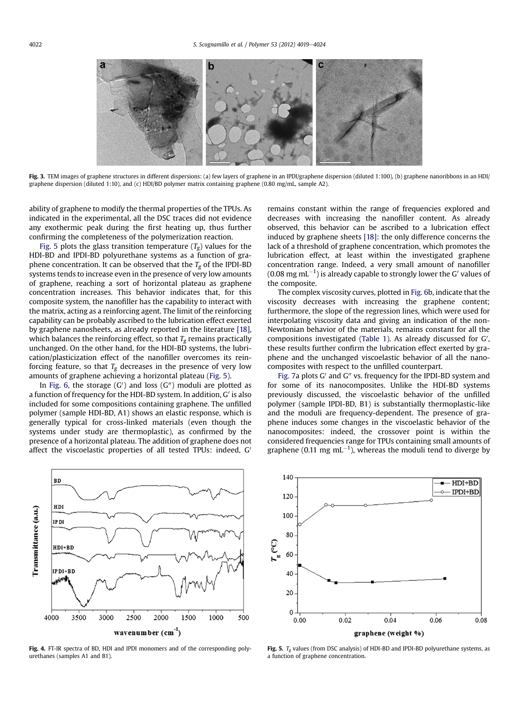<span id="page-3-0"></span>

Fig. 3. TEM images of graphene structures in different dispersions: (a) few layers of graphene in an IPDI/graphene dispersion (diluted 1:100), (b) graphene nanoribbons in an HDI/ graphene dispersion (diluted 1:10), and (c) HDI/BD polymer matrix containing graphene (0.80 mg/mL, sample A2).

ability of graphene to modify the thermal properties of the TPUs. As indicated in the experimental, all the DSC traces did not evidence any exothermic peak during the first heating up, thus further confirming the completeness of the polymerization reaction.

Fig. 5 plots the glass transition temperature  $(T_{\sigma})$  values for the HDI-BD and IPDI-BD polyurethane systems as a function of graphene concentration. It can be observed that the  $T_g$  of the IPDI-BD systems tends to increase even in the presence of very low amounts of graphene, reaching a sort of horizontal plateau as graphene concentration increases. This behavior indicates that, for this composite system, the nanofiller has the capability to interact with the matrix, acting as a reinforcing agent. The limit of the reinforcing capability can be probably ascribed to the lubrication effect exerted by graphene nanosheets, as already reported in the literature [\[18\],](#page-5-0) which balances the reinforcing effect, so that  $T_g$  remains practically unchanged. On the other hand, for the HDI-BD systems, the lubrication/plasticization effect of the nanofiller overcomes its reinforcing feature, so that  $T_g$  decreases in the presence of very low amounts of graphene achieving a horizontal plateau (Fig. 5).

In [Fig. 6,](#page-4-0) the storage (G') and loss (G") moduli are plotted as a function of frequency for the HDI-BD system. In addition, G' is also included for some compositions containing graphene. The unfilled polymer (sample HDI-BD, A1) shows an elastic response, which is generally typical for cross-linked materials (even though the systems under study are thermoplastic), as confirmed by the presence of a horizontal plateau. The addition of graphene does not affect the viscoelastic properties of all tested TPUs: indeed, G'



Fig. 4. FT-IR spectra of BD, HDI and IPDI monomers and of the corresponding polyurethanes (samples A1 and B1).

remains constant within the range of frequencies explored and decreases with increasing the nanofiller content. As already observed, this behavior can be ascribed to a lubrication effect induced by graphene sheets [\[18\]](#page-5-0): the only difference concerns the lack of a threshold of graphene concentration, which promotes the lubrication effect, at least within the investigated graphene concentration range. Indeed, a very small amount of nanofiller (0.08  $\rm{mg\,mL^{-1}}$ ) is already capable to strongly lower the G' values of the composite.

The complex viscosity curves, plotted in [Fig. 6](#page-4-0)b, indicate that the viscosity decreases with increasing the graphene content; furthermore, the slope of the regression lines, which were used for interpolating viscosity data and giving an indication of the non-Newtonian behavior of the materials, remains constant for all the compositions investigated [\(Table 1](#page-2-0)). As already discussed for  $G'$ , these results further confirm the lubrication effect exerted by graphene and the unchanged viscoelastic behavior of all the nanocomposites with respect to the unfilled counterpart.

[Fig. 7a](#page-4-0) plots  $G'$  and  $G''$  vs. frequency for the IPDI-BD system and for some of its nanocomposites. Unlike the HDI-BD systems previously discussed, the viscoelastic behavior of the unfilled polymer (sample IPDI-BD, B1) is substantially thermoplastic-like and the moduli are frequency-dependent. The presence of graphene induces some changes in the viscoelastic behavior of the nanocomposites: indeed, the crossover point is within the considered frequencies range for TPUs containing small amounts of graphene (0.11 mg mL<sup>-1</sup>), whereas the moduli tend to diverge by



Fig. 5.  $T_g$  values (from DSC analysis) of HDI-BD and IPDI-BD polyurethane systems, as a function of graphene concentration.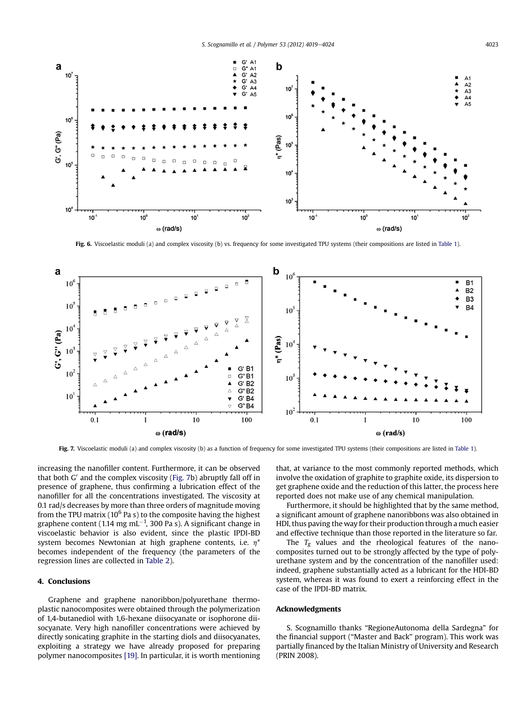<span id="page-4-0"></span>

Fig. 6. Viscoelastic moduli (a) and complex viscosity (b) vs. frequency for some investigated TPU systems (their compositions are listed in [Table 1\)](#page-2-0).



Fig. 7. Viscoelastic moduli (a) and complex viscosity (b) as a function of frequency for some investigated TPU systems (their compositions are listed in [Table 1\)](#page-2-0).

increasing the nanofiller content. Furthermore, it can be observed that both  $G'$  and the complex viscosity (Fig. 7b) abruptly fall off in presence of graphene, thus confirming a lubrication effect of the nanofiller for all the concentrations investigated. The viscosity at 0.1 rad/s decreases by more than three orders of magnitude moving from the TPU matrix ( $10^6$  Pa s) to the composite having the highest graphene content (1.14 mg mL $^{-1}$ , 300 Pa s). A significant change in viscoelastic behavior is also evident, since the plastic IPDI-BD system becomes Newtonian at high graphene contents, i.e.  $\eta^*$ becomes independent of the frequency (the parameters of the regression lines are collected in [Table 2](#page-2-0)).

# 4. Conclusions

Graphene and graphene nanoribbon/polyurethane thermoplastic nanocomposites were obtained through the polymerization of 1,4-butanediol with 1,6-hexane diisocyanate or isophorone diisocyanate. Very high nanofiller concentrations were achieved by directly sonicating graphite in the starting diols and diisocyanates, exploiting a strategy we have already proposed for preparing polymer nanocomposites [\[19\].](#page-5-0) In particular, it is worth mentioning that, at variance to the most commonly reported methods, which involve the oxidation of graphite to graphite oxide, its dispersion to get graphene oxide and the reduction of this latter, the process here reported does not make use of any chemical manipulation.

Furthermore, it should be highlighted that by the same method, a significant amount of graphene nanoribbons was also obtained in HDI, thus paving the way for their production through a much easier and effective technique than those reported in the literature so far.

The  $T_g$  values and the rheological features of the nanocomposites turned out to be strongly affected by the type of polyurethane system and by the concentration of the nanofiller used: indeed, graphene substantially acted as a lubricant for the HDI-BD system, whereas it was found to exert a reinforcing effect in the case of the IPDI-BD matrix.

# Acknowledgments

S. Scognamillo thanks "RegioneAutonoma della Sardegna" for the financial support ("Master and Back" program). This work was partially financed by the Italian Ministry of University and Research (PRIN 2008).